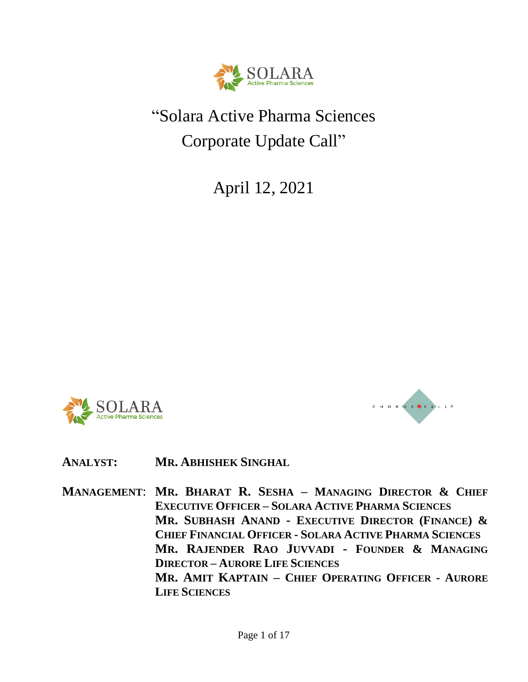

# "Solara Active Pharma Sciences Corporate Update Call"

April 12, 2021





# **ANALYST: MR. ABHISHEK SINGHAL**

**MANAGEMENT**: **MR. BHARAT R. SESHA – MANAGING DIRECTOR & CHIEF EXECUTIVE OFFICER – SOLARA ACTIVE PHARMA SCIENCES MR. SUBHASH ANAND - EXECUTIVE DIRECTOR (FINANCE) & CHIEF FINANCIAL OFFICER - SOLARA ACTIVE PHARMA SCIENCES MR. RAJENDER RAO JUVVADI - FOUNDER & MANAGING DIRECTOR – AURORE LIFE SCIENCES MR. AMIT KAPTAIN – CHIEF OPERATING OFFICER - AURORE LIFE SCIENCES**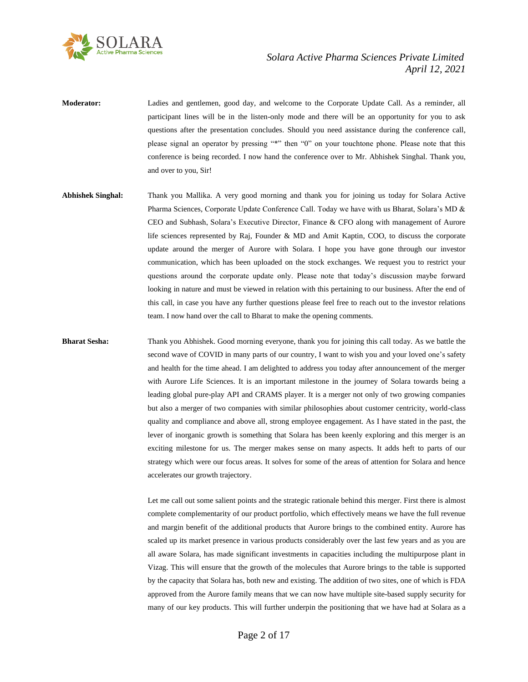

- **Moderator:** Ladies and gentlemen, good day, and welcome to the Corporate Update Call. As a reminder, all participant lines will be in the listen-only mode and there will be an opportunity for you to ask questions after the presentation concludes. Should you need assistance during the conference call, please signal an operator by pressing "\*" then "0" on your touchtone phone. Please note that this conference is being recorded. I now hand the conference over to Mr. Abhishek Singhal. Thank you, and over to you, Sir!
- **Abhishek Singhal:** Thank you Mallika. A very good morning and thank you for joining us today for Solara Active Pharma Sciences, Corporate Update Conference Call. Today we have with us Bharat, Solara's MD & CEO and Subhash, Solara's Executive Director, Finance & CFO along with management of Aurore life sciences represented by Raj, Founder & MD and Amit Kaptin, COO, to discuss the corporate update around the merger of Aurore with Solara. I hope you have gone through our investor communication, which has been uploaded on the stock exchanges. We request you to restrict your questions around the corporate update only. Please note that today's discussion maybe forward looking in nature and must be viewed in relation with this pertaining to our business. After the end of this call, in case you have any further questions please feel free to reach out to the investor relations team. I now hand over the call to Bharat to make the opening comments.
- **Bharat Sesha:** Thank you Abhishek. Good morning everyone, thank you for joining this call today. As we battle the second wave of COVID in many parts of our country, I want to wish you and your loved one's safety and health for the time ahead. I am delighted to address you today after announcement of the merger with Aurore Life Sciences. It is an important milestone in the journey of Solara towards being a leading global pure-play API and CRAMS player. It is a merger not only of two growing companies but also a merger of two companies with similar philosophies about customer centricity, world-class quality and compliance and above all, strong employee engagement. As I have stated in the past, the lever of inorganic growth is something that Solara has been keenly exploring and this merger is an exciting milestone for us. The merger makes sense on many aspects. It adds heft to parts of our strategy which were our focus areas. It solves for some of the areas of attention for Solara and hence accelerates our growth trajectory.

Let me call out some salient points and the strategic rationale behind this merger. First there is almost complete complementarity of our product portfolio, which effectively means we have the full revenue and margin benefit of the additional products that Aurore brings to the combined entity. Aurore has scaled up its market presence in various products considerably over the last few years and as you are all aware Solara, has made significant investments in capacities including the multipurpose plant in Vizag. This will ensure that the growth of the molecules that Aurore brings to the table is supported by the capacity that Solara has, both new and existing. The addition of two sites, one of which is FDA approved from the Aurore family means that we can now have multiple site-based supply security for many of our key products. This will further underpin the positioning that we have had at Solara as a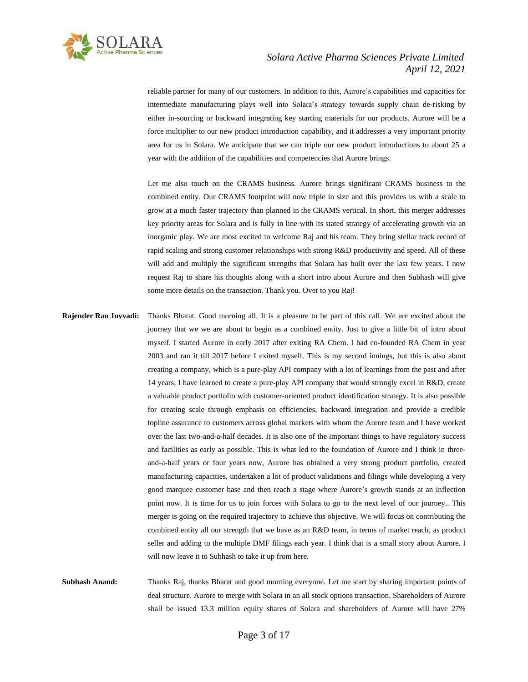

reliable partner for many of our customers. In addition to this, Aurore's capabilities and capacities for intermediate manufacturing plays well into Solara's strategy towards supply chain de-risking by either in-sourcing or backward integrating key starting materials for our products. Aurore will be a force multiplier to our new product introduction capability, and it addresses a very important priority area for us in Solara. We anticipate that we can triple our new product introductions to about 25 a year with the addition of the capabilities and competencies that Aurore brings.

Let me also touch on the CRAMS business. Aurore brings significant CRAMS business to the combined entity. Our CRAMS footprint will now triple in size and this provides us with a scale to grow at a much faster trajectory than planned in the CRAMS vertical. In short, this merger addresses key priority areas for Solara and is fully in line with its stated strategy of accelerating growth via an inorganic play. We are most excited to welcome Raj and his team. They bring stellar track record of rapid scaling and strong customer relationships with strong R&D productivity and speed. All of these will add and multiply the significant strengths that Solara has built over the last few years. I now request Raj to share his thoughts along with a short intro about Aurore and then Subhash will give some more details on the transaction. Thank you. Over to you Raj!

**Rajender Rao Juvvadi:** Thanks Bharat. Good morning all. It is a pleasure to be part of this call. We are excited about the journey that we we are about to begin as a combined entity. Just to give a little bit of intro about myself. I started Aurore in early 2017 after exiting RA Chem. I had co-founded RA Chem in year 2003 and ran it till 2017 before I exited myself. This is my second innings, but this is also about creating a company, which is a pure-play API company with a lot of learnings from the past and after 14 years, I have learned to create a pure-play API company that would strongly excel in R&D, create a valuable product portfolio with customer-oriented product identification strategy. It is also possible for creating scale through emphasis on efficiencies, backward integration and provide a credible topline assurance to customers across global markets with whom the Aurore team and I have worked over the last two-and-a-half decades. It is also one of the important things to have regulatory success and facilities as early as possible. This is what led to the foundation of Aurore and I think in threeand-a-half years or four years now, Aurore has obtained a very strong product portfolio, created manufacturing capacities, undertaken a lot of product validations and filings while developing a very good marquee customer base and then reach a stage where Aurore's growth stands at an inflection point now. It is time for us to join forces with Solara to go to the next level of our journey.. This merger is going on the required trajectory to achieve this objective. We will focus on contributing the combined entity all our strength that we have as an R&D team, in terms of market reach, as product seller and adding to the multiple DMF filings each year. I think that is a small story about Aurore. I will now leave it to Subhash to take it up from here.

**Subhash Anand:** Thanks Raj, thanks Bharat and good morning everyone. Let me start by sharing important points of deal structure. Aurore to merge with Solara in an all stock options transaction. Shareholders of Aurore shall be issued 13.3 million equity shares of Solara and shareholders of Aurore will have 27%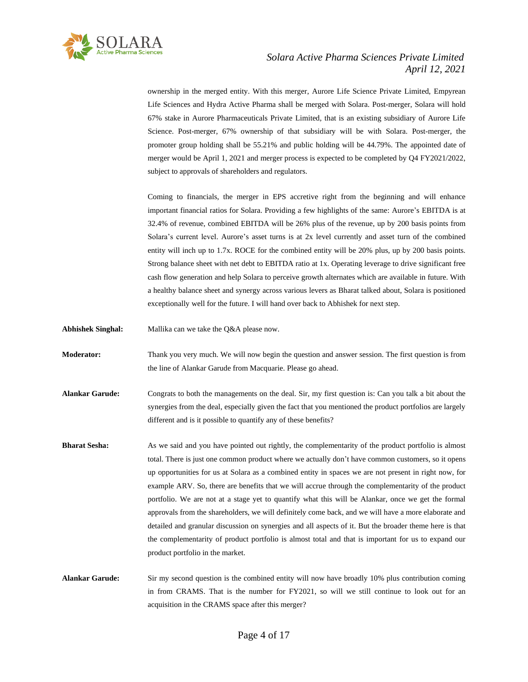

ownership in the merged entity. With this merger, Aurore Life Science Private Limited, Empyrean Life Sciences and Hydra Active Pharma shall be merged with Solara. Post-merger, Solara will hold 67% stake in Aurore Pharmaceuticals Private Limited, that is an existing subsidiary of Aurore Life Science. Post-merger, 67% ownership of that subsidiary will be with Solara. Post-merger, the promoter group holding shall be 55.21% and public holding will be 44.79%. The appointed date of merger would be April 1, 2021 and merger process is expected to be completed by Q4 FY2021/2022, subject to approvals of shareholders and regulators.

Coming to financials, the merger in EPS accretive right from the beginning and will enhance important financial ratios for Solara. Providing a few highlights of the same: Aurore's EBITDA is at 32.4% of revenue, combined EBITDA will be 26% plus of the revenue, up by 200 basis points from Solara's current level. Aurore's asset turns is at 2x level currently and asset turn of the combined entity will inch up to 1.7x. ROCE for the combined entity will be 20% plus, up by 200 basis points. Strong balance sheet with net debt to EBITDA ratio at 1x. Operating leverage to drive significant free cash flow generation and help Solara to perceive growth alternates which are available in future. With a healthy balance sheet and synergy across various levers as Bharat talked about, Solara is positioned exceptionally well for the future. I will hand over back to Abhishek for next step.

- **Abhishek Singhal:** Mallika can we take the Q&A please now.
- **Moderator:** Thank you very much. We will now begin the question and answer session. The first question is from the line of Alankar Garude from Macquarie. Please go ahead.
- **Alankar Garude:** Congrats to both the managements on the deal. Sir, my first question is: Can you talk a bit about the synergies from the deal, especially given the fact that you mentioned the product portfolios are largely different and is it possible to quantify any of these benefits?
- **Bharat Sesha:** As we said and you have pointed out rightly, the complementarity of the product portfolio is almost total. There is just one common product where we actually don't have common customers, so it opens up opportunities for us at Solara as a combined entity in spaces we are not present in right now, for example ARV. So, there are benefits that we will accrue through the complementarity of the product portfolio. We are not at a stage yet to quantify what this will be Alankar, once we get the formal approvals from the shareholders, we will definitely come back, and we will have a more elaborate and detailed and granular discussion on synergies and all aspects of it. But the broader theme here is that the complementarity of product portfolio is almost total and that is important for us to expand our product portfolio in the market.

**Alankar Garude:** Sir my second question is the combined entity will now have broadly 10% plus contribution coming in from CRAMS. That is the number for FY2021, so will we still continue to look out for an acquisition in the CRAMS space after this merger?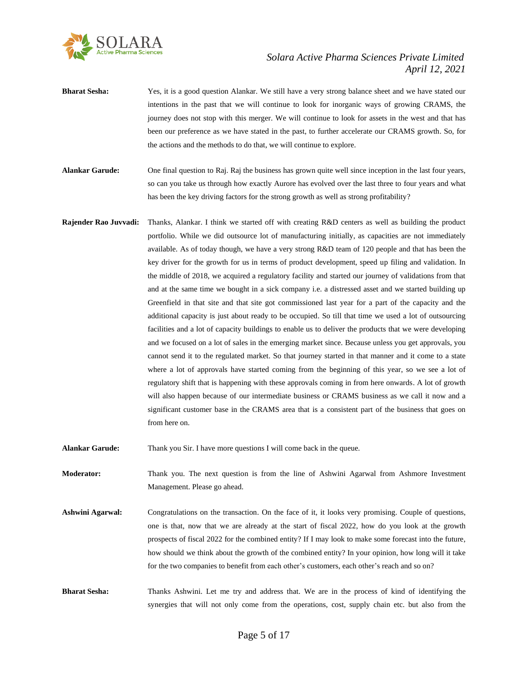

- **Bharat Sesha:** Yes, it is a good question Alankar. We still have a very strong balance sheet and we have stated our intentions in the past that we will continue to look for inorganic ways of growing CRAMS, the journey does not stop with this merger. We will continue to look for assets in the west and that has been our preference as we have stated in the past, to further accelerate our CRAMS growth. So, for the actions and the methods to do that, we will continue to explore.
- **Alankar Garude:** One final question to Raj. Raj the business has grown quite well since inception in the last four years, so can you take us through how exactly Aurore has evolved over the last three to four years and what has been the key driving factors for the strong growth as well as strong profitability?
- **Rajender Rao Juvvadi:** Thanks, Alankar. I think we started off with creating R&D centers as well as building the product portfolio. While we did outsource lot of manufacturing initially, as capacities are not immediately available. As of today though, we have a very strong R&D team of 120 people and that has been the key driver for the growth for us in terms of product development, speed up filing and validation. In the middle of 2018, we acquired a regulatory facility and started our journey of validations from that and at the same time we bought in a sick company i.e. a distressed asset and we started building up Greenfield in that site and that site got commissioned last year for a part of the capacity and the additional capacity is just about ready to be occupied. So till that time we used a lot of outsourcing facilities and a lot of capacity buildings to enable us to deliver the products that we were developing and we focused on a lot of sales in the emerging market since. Because unless you get approvals, you cannot send it to the regulated market. So that journey started in that manner and it come to a state where a lot of approvals have started coming from the beginning of this year, so we see a lot of regulatory shift that is happening with these approvals coming in from here onwards. A lot of growth will also happen because of our intermediate business or CRAMS business as we call it now and a significant customer base in the CRAMS area that is a consistent part of the business that goes on from here on.
- **Alankar Garude:** Thank you Sir. I have more questions I will come back in the queue.

**Moderator:** Thank you. The next question is from the line of Ashwini Agarwal from Ashmore Investment Management. Please go ahead.

- **Ashwini Agarwal:** Congratulations on the transaction. On the face of it, it looks very promising. Couple of questions, one is that, now that we are already at the start of fiscal 2022, how do you look at the growth prospects of fiscal 2022 for the combined entity? If I may look to make some forecast into the future, how should we think about the growth of the combined entity? In your opinion, how long will it take for the two companies to benefit from each other's customers, each other's reach and so on?
- **Bharat Sesha:** Thanks Ashwini. Let me try and address that. We are in the process of kind of identifying the synergies that will not only come from the operations, cost, supply chain etc. but also from the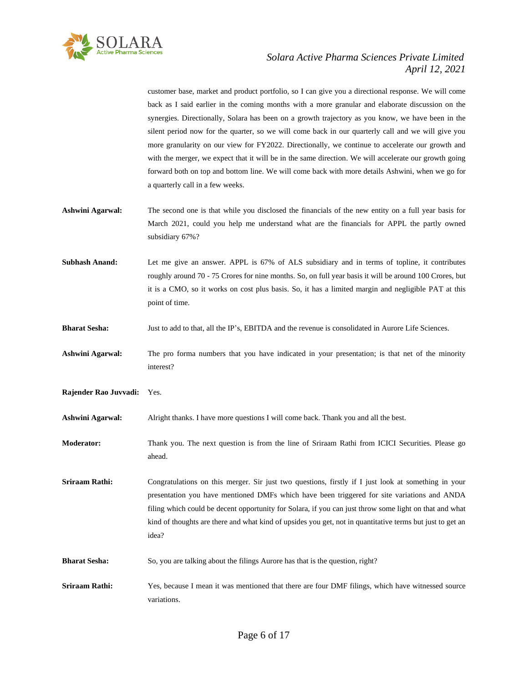

customer base, market and product portfolio, so I can give you a directional response. We will come back as I said earlier in the coming months with a more granular and elaborate discussion on the synergies. Directionally, Solara has been on a growth trajectory as you know, we have been in the silent period now for the quarter, so we will come back in our quarterly call and we will give you more granularity on our view for FY2022. Directionally, we continue to accelerate our growth and with the merger, we expect that it will be in the same direction. We will accelerate our growth going forward both on top and bottom line. We will come back with more details Ashwini, when we go for a quarterly call in a few weeks.

**Ashwini Agarwal:** The second one is that while you disclosed the financials of the new entity on a full year basis for March 2021, could you help me understand what are the financials for APPL the partly owned subsidiary 67%?

**Subhash Anand:** Let me give an answer. APPL is 67% of ALS subsidiary and in terms of topline, it contributes roughly around 70 - 75 Crores for nine months. So, on full year basis it will be around 100 Crores, but it is a CMO, so it works on cost plus basis. So, it has a limited margin and negligible PAT at this point of time.

- **Bharat Sesha:** Just to add to that, all the IP's, EBITDA and the revenue is consolidated in Aurore Life Sciences.
- **Ashwini Agarwal:** The pro forma numbers that you have indicated in your presentation; is that net of the minority interest?

**Rajender Rao Juvvadi:** Yes.

**Ashwini Agarwal:** Alright thanks. I have more questions I will come back. Thank you and all the best.

**Moderator:** Thank you. The next question is from the line of Sriraam Rathi from ICICI Securities. Please go ahead.

**Sriraam Rathi:** Congratulations on this merger. Sir just two questions, firstly if I just look at something in your presentation you have mentioned DMFs which have been triggered for site variations and ANDA filing which could be decent opportunity for Solara, if you can just throw some light on that and what kind of thoughts are there and what kind of upsides you get, not in quantitative terms but just to get an idea?

- **Bharat Sesha:** So, you are talking about the filings Aurore has that is the question, right?
- **Sriraam Rathi:** Yes, because I mean it was mentioned that there are four DMF filings, which have witnessed source variations.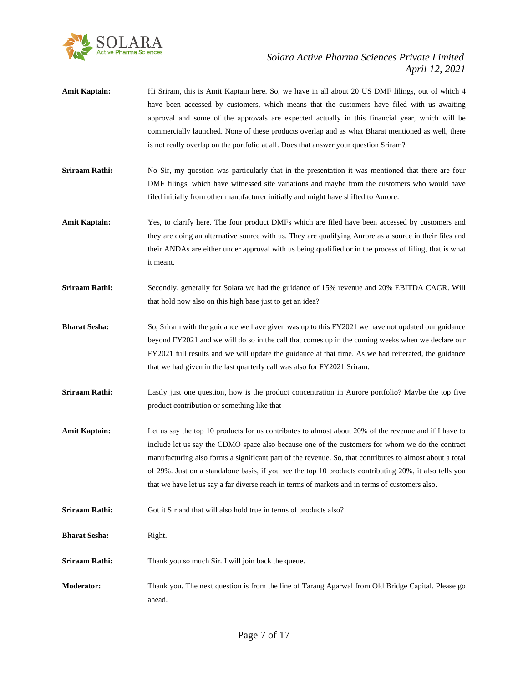

- **Amit Kaptain:** Hi Sriram, this is Amit Kaptain here. So, we have in all about 20 US DMF filings, out of which 4 have been accessed by customers, which means that the customers have filed with us awaiting approval and some of the approvals are expected actually in this financial year, which will be commercially launched. None of these products overlap and as what Bharat mentioned as well, there is not really overlap on the portfolio at all. Does that answer your question Sriram?
- **Sriraam Rathi:** No Sir, my question was particularly that in the presentation it was mentioned that there are four DMF filings, which have witnessed site variations and maybe from the customers who would have filed initially from other manufacturer initially and might have shifted to Aurore.
- **Amit Kaptain:** Yes, to clarify here. The four product DMFs which are filed have been accessed by customers and they are doing an alternative source with us. They are qualifying Aurore as a source in their files and their ANDAs are either under approval with us being qualified or in the process of filing, that is what it meant.
- **Sriraam Rathi:** Secondly, generally for Solara we had the guidance of 15% revenue and 20% EBITDA CAGR. Will that hold now also on this high base just to get an idea?
- **Bharat Sesha:** So, Sriram with the guidance we have given was up to this FY2021 we have not updated our guidance beyond FY2021 and we will do so in the call that comes up in the coming weeks when we declare our FY2021 full results and we will update the guidance at that time. As we had reiterated, the guidance that we had given in the last quarterly call was also for FY2021 Sriram.
- **Sriraam Rathi:** Lastly just one question, how is the product concentration in Aurore portfolio? Maybe the top five product contribution or something like that
- **Amit Kaptain:** Let us say the top 10 products for us contributes to almost about 20% of the revenue and if I have to include let us say the CDMO space also because one of the customers for whom we do the contract manufacturing also forms a significant part of the revenue. So, that contributes to almost about a total of 29%. Just on a standalone basis, if you see the top 10 products contributing 20%, it also tells you that we have let us say a far diverse reach in terms of markets and in terms of customers also.
- **Sriraam Rathi:** Got it Sir and that will also hold true in terms of products also?
- **Bharat Sesha:** Right.
- **Sriraam Rathi:** Thank you so much Sir. I will join back the queue.
- **Moderator:** Thank you. The next question is from the line of Tarang Agarwal from Old Bridge Capital. Please go ahead.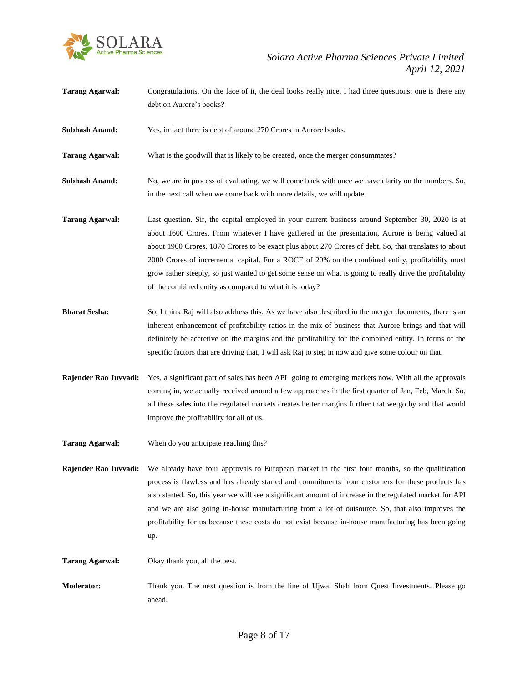

**Tarang Agarwal:** Congratulations. On the face of it, the deal looks really nice. I had three questions; one is there any debt on Aurore's books?

**Subhash Anand:** Yes, in fact there is debt of around 270 Crores in Aurore books.

**Tarang Agarwal:** What is the goodwill that is likely to be created, once the merger consummates?

**Subhash Anand:** No, we are in process of evaluating, we will come back with once we have clarity on the numbers. So, in the next call when we come back with more details, we will update.

**Tarang Agarwal:** Last question. Sir, the capital employed in your current business around September 30, 2020 is at about 1600 Crores. From whatever I have gathered in the presentation, Aurore is being valued at about 1900 Crores. 1870 Crores to be exact plus about 270 Crores of debt. So, that translates to about 2000 Crores of incremental capital. For a ROCE of 20% on the combined entity, profitability must grow rather steeply, so just wanted to get some sense on what is going to really drive the profitability of the combined entity as compared to what it is today?

- **Bharat Sesha:** So, I think Raj will also address this. As we have also described in the merger documents, there is an inherent enhancement of profitability ratios in the mix of business that Aurore brings and that will definitely be accretive on the margins and the profitability for the combined entity. In terms of the specific factors that are driving that, I will ask Raj to step in now and give some colour on that.
- **Rajender Rao Juvvadi:** Yes, a significant part of sales has been API going to emerging markets now. With all the approvals coming in, we actually received around a few approaches in the first quarter of Jan, Feb, March. So, all these sales into the regulated markets creates better margins further that we go by and that would improve the profitability for all of us.
- **Tarang Agarwal:** When do you anticipate reaching this?
- **Rajender Rao Juvvadi:** We already have four approvals to European market in the first four months, so the qualification process is flawless and has already started and commitments from customers for these products has also started. So, this year we will see a significant amount of increase in the regulated market for API and we are also going in-house manufacturing from a lot of outsource. So, that also improves the profitability for us because these costs do not exist because in-house manufacturing has been going up.

**Tarang Agarwal:** Okay thank you, all the best.

**Moderator:** Thank you. The next question is from the line of Ujwal Shah from Quest Investments. Please go ahead.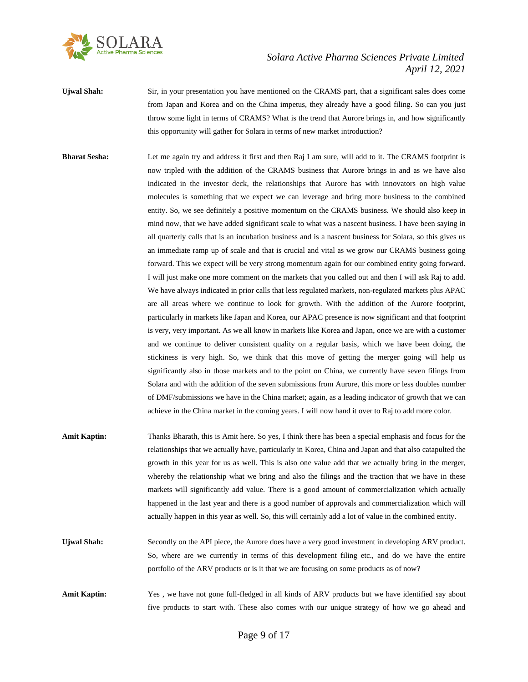

- **Ujwal Shah:** Sir, in your presentation you have mentioned on the CRAMS part, that a significant sales does come from Japan and Korea and on the China impetus, they already have a good filing. So can you just throw some light in terms of CRAMS? What is the trend that Aurore brings in, and how significantly this opportunity will gather for Solara in terms of new market introduction?
- **Bharat Sesha:** Let me again try and address it first and then Raj I am sure, will add to it. The CRAMS footprint is now tripled with the addition of the CRAMS business that Aurore brings in and as we have also indicated in the investor deck, the relationships that Aurore has with innovators on high value molecules is something that we expect we can leverage and bring more business to the combined entity. So, we see definitely a positive momentum on the CRAMS business. We should also keep in mind now, that we have added significant scale to what was a nascent business. I have been saying in all quarterly calls that is an incubation business and is a nascent business for Solara, so this gives us an immediate ramp up of scale and that is crucial and vital as we grow our CRAMS business going forward. This we expect will be very strong momentum again for our combined entity going forward. I will just make one more comment on the markets that you called out and then I will ask Raj to add. We have always indicated in prior calls that less regulated markets, non-regulated markets plus APAC are all areas where we continue to look for growth. With the addition of the Aurore footprint, particularly in markets like Japan and Korea, our APAC presence is now significant and that footprint is very, very important. As we all know in markets like Korea and Japan, once we are with a customer and we continue to deliver consistent quality on a regular basis, which we have been doing, the stickiness is very high. So, we think that this move of getting the merger going will help us significantly also in those markets and to the point on China, we currently have seven filings from Solara and with the addition of the seven submissions from Aurore, this more or less doubles number of DMF/submissions we have in the China market; again, as a leading indicator of growth that we can achieve in the China market in the coming years. I will now hand it over to Raj to add more color.
- **Amit Kaptin:** Thanks Bharath, this is Amit here. So yes, I think there has been a special emphasis and focus for the relationships that we actually have, particularly in Korea, China and Japan and that also catapulted the growth in this year for us as well. This is also one value add that we actually bring in the merger, whereby the relationship what we bring and also the filings and the traction that we have in these markets will significantly add value. There is a good amount of commercialization which actually happened in the last year and there is a good number of approvals and commercialization which will actually happen in this year as well. So, this will certainly add a lot of value in the combined entity.
- Ujwal Shah: Secondly on the API piece, the Aurore does have a very good investment in developing ARV product. So, where are we currently in terms of this development filing etc., and do we have the entire portfolio of the ARV products or is it that we are focusing on some products as of now?
- **Amit Kaptin:** Yes , we have not gone full-fledged in all kinds of ARV products but we have identified say about five products to start with. These also comes with our unique strategy of how we go ahead and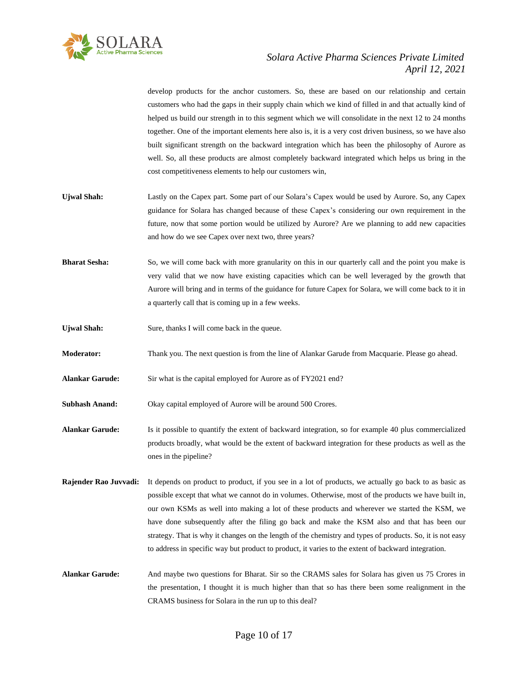

develop products for the anchor customers. So, these are based on our relationship and certain customers who had the gaps in their supply chain which we kind of filled in and that actually kind of helped us build our strength in to this segment which we will consolidate in the next 12 to 24 months together. One of the important elements here also is, it is a very cost driven business, so we have also built significant strength on the backward integration which has been the philosophy of Aurore as well. So, all these products are almost completely backward integrated which helps us bring in the cost competitiveness elements to help our customers win,

- **Ujwal Shah:** Lastly on the Capex part. Some part of our Solara's Capex would be used by Aurore. So, any Capex guidance for Solara has changed because of these Capex's considering our own requirement in the future, now that some portion would be utilized by Aurore? Are we planning to add new capacities and how do we see Capex over next two, three years?
- **Bharat Sesha:** So, we will come back with more granularity on this in our quarterly call and the point you make is very valid that we now have existing capacities which can be well leveraged by the growth that Aurore will bring and in terms of the guidance for future Capex for Solara, we will come back to it in a quarterly call that is coming up in a few weeks.
- **Ujwal Shah:** Sure, thanks I will come back in the queue.
- **Moderator:** Thank you. The next question is from the line of Alankar Garude from Macquarie. Please go ahead.
- **Alankar Garude:** Sir what is the capital employed for Aurore as of FY2021 end?

**Subhash Anand:** Okay capital employed of Aurore will be around 500 Crores.

**Alankar Garude:** Is it possible to quantify the extent of backward integration, so for example 40 plus commercialized products broadly, what would be the extent of backward integration for these products as well as the ones in the pipeline?

**Rajender Rao Juvvadi:** It depends on product to product, if you see in a lot of products, we actually go back to as basic as possible except that what we cannot do in volumes. Otherwise, most of the products we have built in, our own KSMs as well into making a lot of these products and wherever we started the KSM, we have done subsequently after the filing go back and make the KSM also and that has been our strategy. That is why it changes on the length of the chemistry and types of products. So, it is not easy to address in specific way but product to product, it varies to the extent of backward integration.

**Alankar Garude:** And maybe two questions for Bharat. Sir so the CRAMS sales for Solara has given us 75 Crores in the presentation, I thought it is much higher than that so has there been some realignment in the CRAMS business for Solara in the run up to this deal?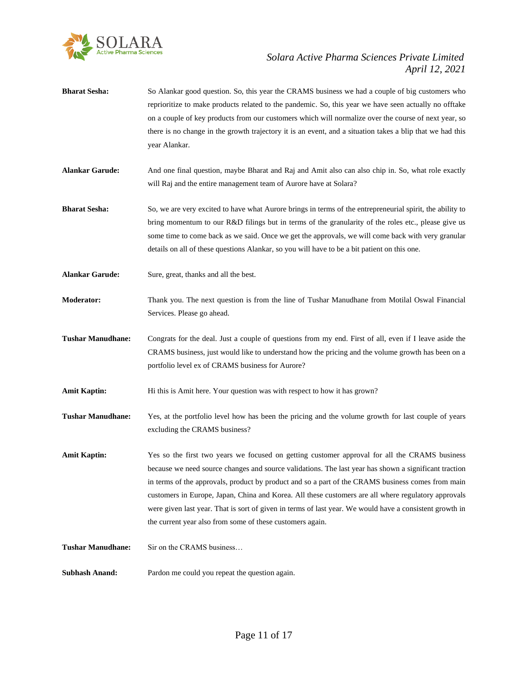

- **Bharat Sesha:** So Alankar good question. So, this year the CRAMS business we had a couple of big customers who reprioritize to make products related to the pandemic. So, this year we have seen actually no offtake on a couple of key products from our customers which will normalize over the course of next year, so there is no change in the growth trajectory it is an event, and a situation takes a blip that we had this year Alankar.
- **Alankar Garude:** And one final question, maybe Bharat and Raj and Amit also can also chip in. So, what role exactly will Raj and the entire management team of Aurore have at Solara?
- **Bharat Sesha:** So, we are very excited to have what Aurore brings in terms of the entrepreneurial spirit, the ability to bring momentum to our R&D filings but in terms of the granularity of the roles etc., please give us some time to come back as we said. Once we get the approvals, we will come back with very granular details on all of these questions Alankar, so you will have to be a bit patient on this one.
- Alankar Garude: Sure, great, thanks and all the best.
- **Moderator:** Thank you. The next question is from the line of Tushar Manudhane from Motilal Oswal Financial Services. Please go ahead.
- **Tushar Manudhane:** Congrats for the deal. Just a couple of questions from my end. First of all, even if I leave aside the CRAMS business, just would like to understand how the pricing and the volume growth has been on a portfolio level ex of CRAMS business for Aurore?
- **Amit Kaptin:** Hi this is Amit here. Your question was with respect to how it has grown?
- **Tushar Manudhane:** Yes, at the portfolio level how has been the pricing and the volume growth for last couple of years excluding the CRAMS business?
- **Amit Kaptin:** Yes so the first two years we focused on getting customer approval for all the CRAMS business because we need source changes and source validations. The last year has shown a significant traction in terms of the approvals, product by product and so a part of the CRAMS business comes from main customers in Europe, Japan, China and Korea. All these customers are all where regulatory approvals were given last year. That is sort of given in terms of last year. We would have a consistent growth in the current year also from some of these customers again.
- **Tushar Manudhane:** Sir on the CRAMS business…
- **Subhash Anand:** Pardon me could you repeat the question again.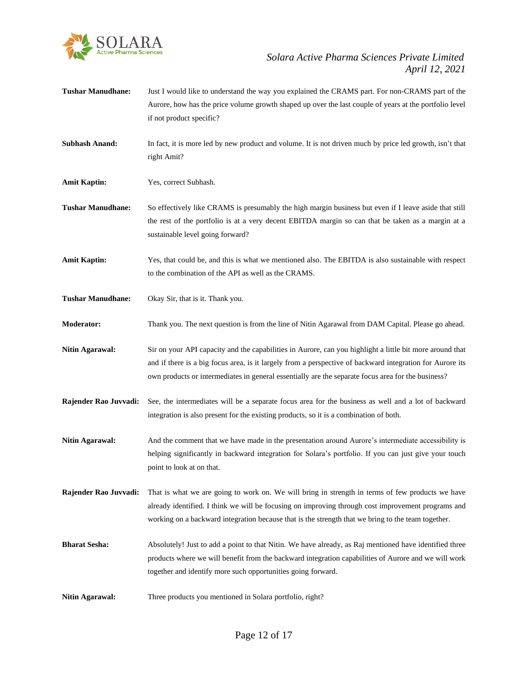

- **Tushar Manudhane:** Just I would like to understand the way you explained the CRAMS part. For non-CRAMS part of the Aurore, how has the price volume growth shaped up over the last couple of years at the portfolio level if not product specific?
- **Subhash Anand:** In fact, it is more led by new product and volume. It is not driven much by price led growth, isn't that right Amit?
- **Amit Kaptin:** Yes, correct Subhash.

**Tushar Manudhane:** So effectively like CRAMS is presumably the high margin business but even if I leave aside that still the rest of the portfolio is at a very decent EBITDA margin so can that be taken as a margin at a sustainable level going forward?

**Amit Kaptin:** Yes, that could be, and this is what we mentioned also. The EBITDA is also sustainable with respect to the combination of the API as well as the CRAMS.

**Tushar Manudhane:** Okay Sir, that is it. Thank you.

**Moderator:** Thank you. The next question is from the line of Nitin Agarawal from DAM Capital. Please go ahead.

- **Nitin Agarawal:** Sir on your API capacity and the capabilities in Aurore, can you highlight a little bit more around that and if there is a big focus area, is it largely from a perspective of backward integration for Aurore its own products or intermediates in general essentially are the separate focus area for the business?
- **Rajender Rao Juvvadi:** See, the intermediates will be a separate focus area for the business as well and a lot of backward integration is also present for the existing products, so it is a combination of both.
- **Nitin Agarawal:** And the comment that we have made in the presentation around Aurore's intermediate accessibility is helping significantly in backward integration for Solara's portfolio. If you can just give your touch point to look at on that.
- **Rajender Rao Juvvadi:** That is what we are going to work on. We will bring in strength in terms of few products we have already identified. I think we will be focusing on improving through cost improvement programs and working on a backward integration because that is the strength that we bring to the team together.
- **Bharat Sesha:** Absolutely! Just to add a point to that Nitin. We have already, as Raj mentioned have identified three products where we will benefit from the backward integration capabilities of Aurore and we will work together and identify more such opportunities going forward.
- **Nitin Agarawal:** Three products you mentioned in Solara portfolio, right?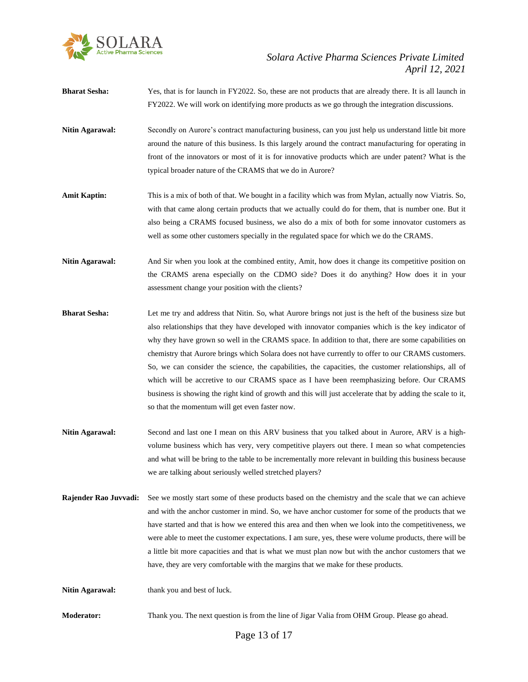

**Bharat Sesha:** Yes, that is for launch in FY2022. So, these are not products that are already there. It is all launch in FY2022. We will work on identifying more products as we go through the integration discussions.

- **Nitin Agarawal:** Secondly on Aurore's contract manufacturing business, can you just help us understand little bit more around the nature of this business. Is this largely around the contract manufacturing for operating in front of the innovators or most of it is for innovative products which are under patent? What is the typical broader nature of the CRAMS that we do in Aurore?
- **Amit Kaptin:** This is a mix of both of that. We bought in a facility which was from Mylan, actually now Viatris. So, with that came along certain products that we actually could do for them, that is number one. But it also being a CRAMS focused business, we also do a mix of both for some innovator customers as well as some other customers specially in the regulated space for which we do the CRAMS.

**Nitin Agarawal:** And Sir when you look at the combined entity, Amit, how does it change its competitive position on the CRAMS arena especially on the CDMO side? Does it do anything? How does it in your assessment change your position with the clients?

- **Bharat Sesha:** Let me try and address that Nitin. So, what Aurore brings not just is the heft of the business size but also relationships that they have developed with innovator companies which is the key indicator of why they have grown so well in the CRAMS space. In addition to that, there are some capabilities on chemistry that Aurore brings which Solara does not have currently to offer to our CRAMS customers. So, we can consider the science, the capabilities, the capacities, the customer relationships, all of which will be accretive to our CRAMS space as I have been reemphasizing before. Our CRAMS business is showing the right kind of growth and this will just accelerate that by adding the scale to it, so that the momentum will get even faster now.
- **Nitin Agarawal:** Second and last one I mean on this ARV business that you talked about in Aurore, ARV is a highvolume business which has very, very competitive players out there. I mean so what competencies and what will be bring to the table to be incrementally more relevant in building this business because we are talking about seriously welled stretched players?
- **Rajender Rao Juvvadi:** See we mostly start some of these products based on the chemistry and the scale that we can achieve and with the anchor customer in mind. So, we have anchor customer for some of the products that we have started and that is how we entered this area and then when we look into the competitiveness, we were able to meet the customer expectations. I am sure, yes, these were volume products, there will be a little bit more capacities and that is what we must plan now but with the anchor customers that we have, they are very comfortable with the margins that we make for these products.

Nitin Agarawal: thank you and best of luck.

**Moderator:** Thank you. The next question is from the line of Jigar Valia from OHM Group. Please go ahead.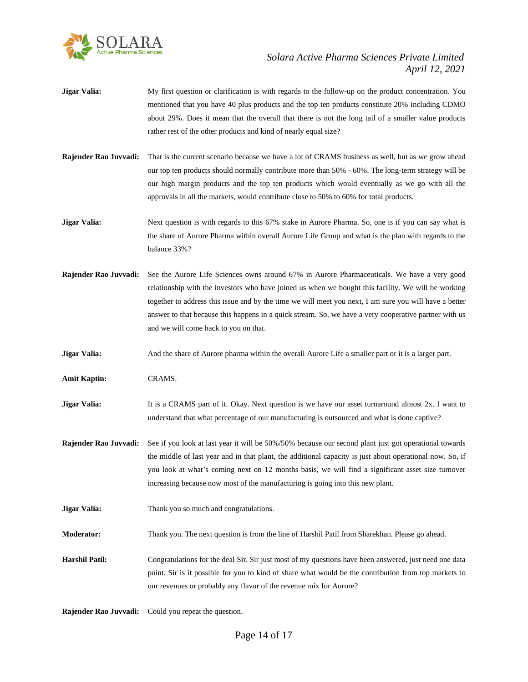

- **Jigar Valia:** My first question or clarification is with regards to the follow-up on the product concentration. You mentioned that you have 40 plus products and the top ten products constitute 20% including CDMO about 29%. Does it mean that the overall that there is not the long tail of a smaller value products rather rest of the other products and kind of nearly equal size?
- **Rajender Rao Juvvadi:** That is the current scenario because we have a lot of CRAMS business as well, but as we grow ahead our top ten products should normally contribute more than 50% - 60%. The long-term strategy will be our high margin products and the top ten products which would eventually as we go with all the approvals in all the markets, would contribute close to 50% to 60% for total products.
- **Jigar Valia:** Next question is with regards to this 67% stake in Aurore Pharma. So, one is if you can say what is the share of Aurore Pharma within overall Aurore Life Group and what is the plan with regards to the balance 33%?
- **Rajender Rao Juvvadi:** See the Aurore Life Sciences owns around 67% in Aurore Pharmaceuticals. We have a very good relationship with the investors who have joined us when we bought this facility. We will be working together to address this issue and by the time we will meet you next, I am sure you will have a better answer to that because this happens in a quick stream. So, we have a very cooperative partner with us and we will come back to you on that.
- **Jigar Valia:** And the share of Aurore pharma within the overall Aurore Life a smaller part or it is a larger part.
- **Amit Kaptin:** CRAMS.
- **Jigar Valia:** It is a CRAMS part of it. Okay. Next question is we have our asset turnaround almost 2x. I want to understand that what percentage of our manufacturing is outsourced and what is done captive?
- **Rajender Rao Juvvadi:** See if you look at last year it will be 50%/50% because our second plant just got operational towards the middle of last year and in that plant, the additional capacity is just about operational now. So, if you look at what's coming next on 12 months basis, we will find a significant asset size turnover increasing because now most of the manufacturing is going into this new plant.
- **Jigar Valia:** Thank you so much and congratulations.
- **Moderator:** Thank you. The next question is from the line of Harshil Patil from Sharekhan. Please go ahead.
- **Harshil Patil:** Congratulations for the deal Sir. Sir just most of my questions have been answered, just need one data point. Sir is it possible for you to kind of share what would be the contribution from top markets to our revenues or probably any flavor of the revenue mix for Aurore?
- **Rajender Rao Juvvadi:** Could you repeat the question.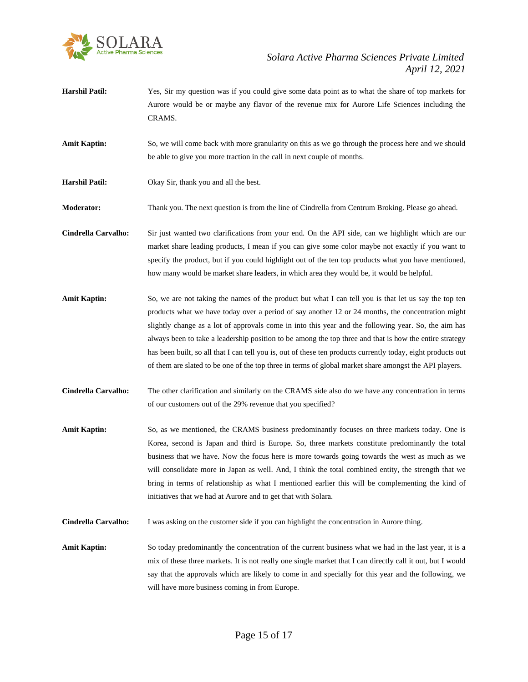

- **Harshil Patil:** Yes, Sir my question was if you could give some data point as to what the share of top markets for Aurore would be or maybe any flavor of the revenue mix for Aurore Life Sciences including the CRAMS.
- **Amit Kaptin:** So, we will come back with more granularity on this as we go through the process here and we should be able to give you more traction in the call in next couple of months.
- **Harshil Patil:** Okay Sir, thank you and all the best.

**Moderator:** Thank you. The next question is from the line of Cindrella from Centrum Broking. Please go ahead.

**Cindrella Carvalho:** Sir just wanted two clarifications from your end. On the API side, can we highlight which are our market share leading products, I mean if you can give some color maybe not exactly if you want to specify the product, but if you could highlight out of the ten top products what you have mentioned, how many would be market share leaders, in which area they would be, it would be helpful.

- Amit Kaptin: So, we are not taking the names of the product but what I can tell you is that let us say the top ten products what we have today over a period of say another 12 or 24 months, the concentration might slightly change as a lot of approvals come in into this year and the following year. So, the aim has always been to take a leadership position to be among the top three and that is how the entire strategy has been built, so all that I can tell you is, out of these ten products currently today, eight products out of them are slated to be one of the top three in terms of global market share amongst the API players.
- **Cindrella Carvalho:** The other clarification and similarly on the CRAMS side also do we have any concentration in terms of our customers out of the 29% revenue that you specified?
- Amit Kaptin: So, as we mentioned, the CRAMS business predominantly focuses on three markets today. One is Korea, second is Japan and third is Europe. So, three markets constitute predominantly the total business that we have. Now the focus here is more towards going towards the west as much as we will consolidate more in Japan as well. And, I think the total combined entity, the strength that we bring in terms of relationship as what I mentioned earlier this will be complementing the kind of initiatives that we had at Aurore and to get that with Solara.
- **Cindrella Carvalho:** I was asking on the customer side if you can highlight the concentration in Aurore thing.

**Amit Kaptin:** So today predominantly the concentration of the current business what we had in the last year, it is a mix of these three markets. It is not really one single market that I can directly call it out, but I would say that the approvals which are likely to come in and specially for this year and the following, we will have more business coming in from Europe.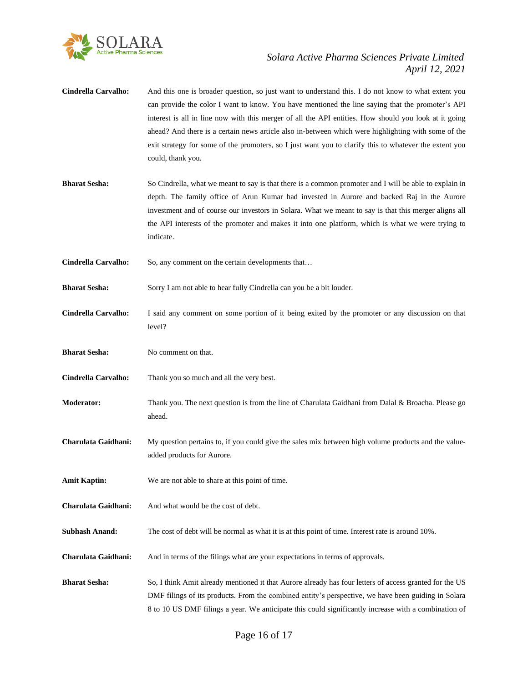

- **Cindrella Carvalho:** And this one is broader question, so just want to understand this. I do not know to what extent you can provide the color I want to know. You have mentioned the line saying that the promoter's API interest is all in line now with this merger of all the API entities. How should you look at it going ahead? And there is a certain news article also in-between which were highlighting with some of the exit strategy for some of the promoters, so I just want you to clarify this to whatever the extent you could, thank you.
- **Bharat Sesha:** So Cindrella, what we meant to say is that there is a common promoter and I will be able to explain in depth. The family office of Arun Kumar had invested in Aurore and backed Raj in the Aurore investment and of course our investors in Solara. What we meant to say is that this merger aligns all the API interests of the promoter and makes it into one platform, which is what we were trying to indicate.
- Cindrella Carvalho: So, any comment on the certain developments that...

**Bharat Sesha:** Sorry I am not able to hear fully Cindrella can you be a bit louder.

- **Cindrella Carvalho:** I said any comment on some portion of it being exited by the promoter or any discussion on that level?
- **Bharat Sesha:** No comment on that.
- **Cindrella Carvalho:** Thank you so much and all the very best.
- **Moderator:** Thank you. The next question is from the line of Charulata Gaidhani from Dalal & Broacha. Please go ahead.
- **Charulata Gaidhani:** My question pertains to, if you could give the sales mix between high volume products and the valueadded products for Aurore.
- **Amit Kaptin:** We are not able to share at this point of time.
- **Charulata Gaidhani:** And what would be the cost of debt.
- **Subhash Anand:** The cost of debt will be normal as what it is at this point of time. Interest rate is around 10%.
- **Charulata Gaidhani:** And in terms of the filings what are your expectations in terms of approvals.
- **Bharat Sesha:** So, I think Amit already mentioned it that Aurore already has four letters of access granted for the US DMF filings of its products. From the combined entity's perspective, we have been guiding in Solara 8 to 10 US DMF filings a year. We anticipate this could significantly increase with a combination of